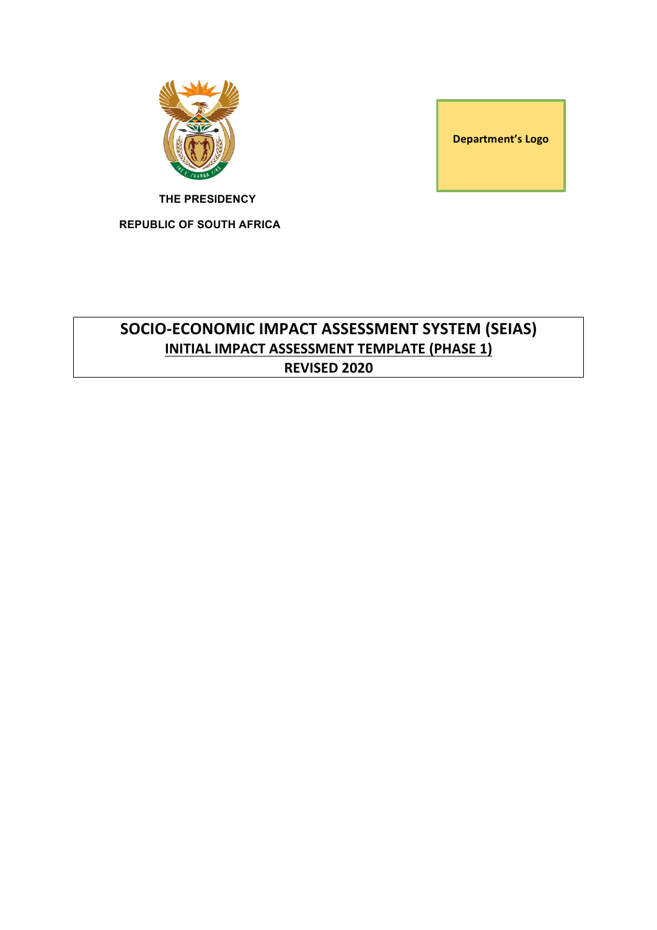

**Department's Logo** 

**THE PRESIDENCY**

**REPUBLIC OF SOUTH AFRICA**

# **SOCIO-ECONOMIC IMPACT ASSESSMENT SYSTEM (SEIAS) INITIAL IMPACT ASSESSMENT TEMPLATE (PHASE 1) REVISED 2020**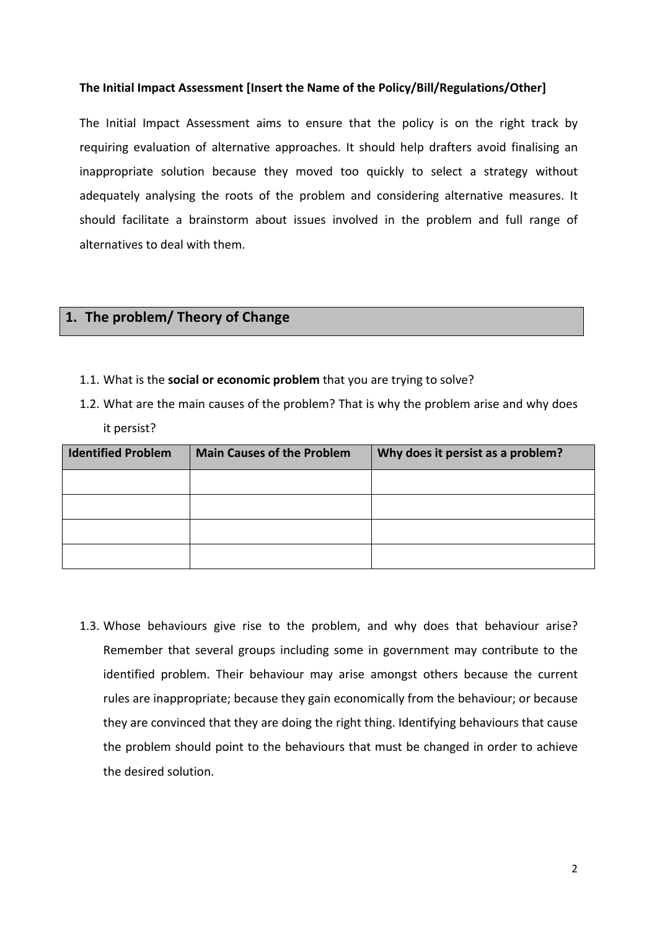#### The Initial Impact Assessment [Insert the Name of the Policy/Bill/Regulations/Other]

The Initial Impact Assessment aims to ensure that the policy is on the right track by requiring evaluation of alternative approaches. It should help drafters avoid finalising an inappropriate solution because they moved too quickly to select a strategy without adequately analysing the roots of the problem and considering alternative measures. It should facilitate a brainstorm about issues involved in the problem and full range of alternatives to deal with them.

### 1. The problem/ Theory of Change

- 1.1. What is the **social or economic problem** that you are trying to solve?
- 1.2. What are the main causes of the problem? That is why the problem arise and why does it persist?

| <b>Identified Problem</b> | <b>Main Causes of the Problem</b> | Why does it persist as a problem? |
|---------------------------|-----------------------------------|-----------------------------------|
|                           |                                   |                                   |
|                           |                                   |                                   |
|                           |                                   |                                   |
|                           |                                   |                                   |

1.3. Whose behaviours give rise to the problem, and why does that behaviour arise? Remember that several groups including some in government may contribute to the identified problem. Their behaviour may arise amongst others because the current rules are inappropriate; because they gain economically from the behaviour; or because they are convinced that they are doing the right thing. Identifying behaviours that cause the problem should point to the behaviours that must be changed in order to achieve the desired solution.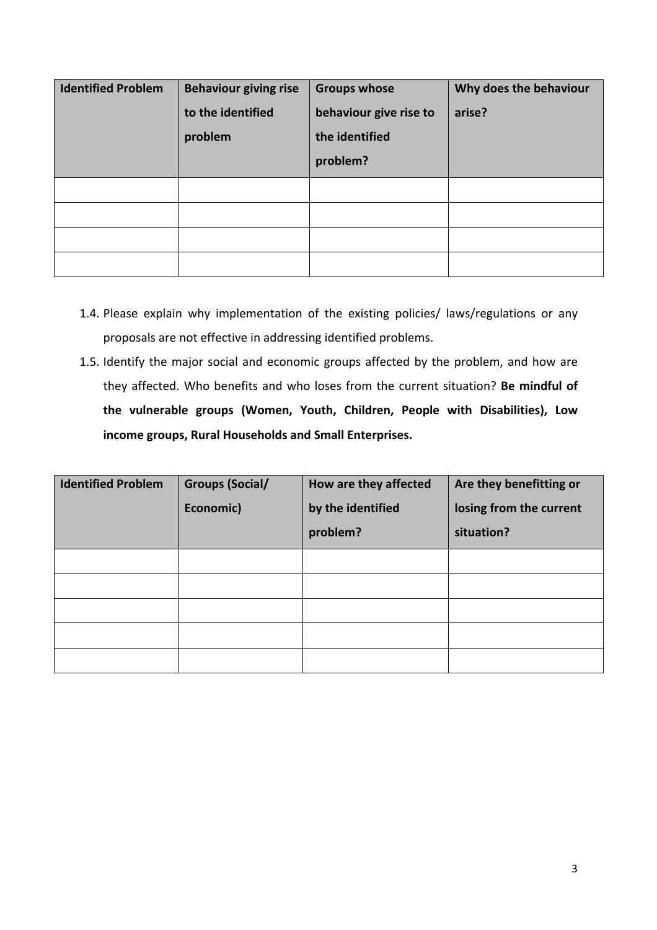| <b>Identified Problem</b> | <b>Behaviour giving rise</b><br>to the identified<br>problem | <b>Groups whose</b><br>behaviour give rise to<br>the identified<br>problem? | Why does the behaviour<br>arise? |
|---------------------------|--------------------------------------------------------------|-----------------------------------------------------------------------------|----------------------------------|
|                           |                                                              |                                                                             |                                  |
|                           |                                                              |                                                                             |                                  |

- 1.4. Please explain why implementation of the existing policies/ laws/regulations or any proposals are not effective in addressing identified problems.
- 1.5. Identify the major social and economic groups affected by the problem, and how are they affected. Who benefits and who loses from the current situation? Be mindful of the vulnerable groups (Women, Youth, Children, People with Disabilities), Low **income groups, Rural Households and Small Enterprises.**

| <b>Identified Problem</b> | <b>Groups (Social/</b><br>Economic) | How are they affected<br>by the identified<br>problem? | Are they benefitting or<br>losing from the current<br>situation? |
|---------------------------|-------------------------------------|--------------------------------------------------------|------------------------------------------------------------------|
|                           |                                     |                                                        |                                                                  |
|                           |                                     |                                                        |                                                                  |
|                           |                                     |                                                        |                                                                  |
|                           |                                     |                                                        |                                                                  |
|                           |                                     |                                                        |                                                                  |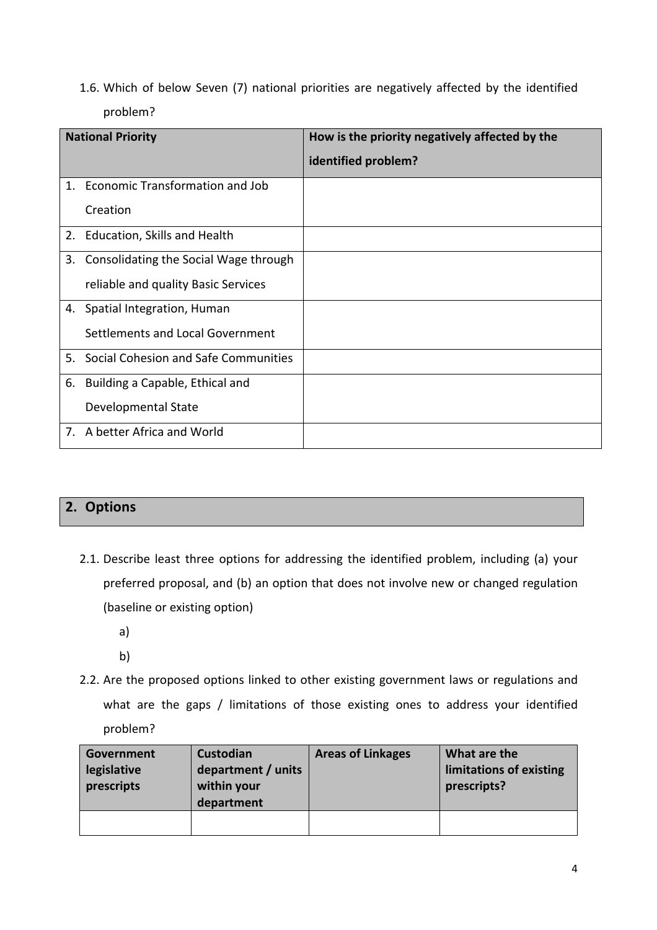1.6. Which of below Seven (7) national priorities are negatively affected by the identified problem? 

|    | <b>National Priority</b>              | How is the priority negatively affected by the |
|----|---------------------------------------|------------------------------------------------|
|    |                                       | identified problem?                            |
|    | 1. Economic Transformation and Job    |                                                |
|    | Creation                              |                                                |
|    | 2. Education, Skills and Health       |                                                |
| 3. | Consolidating the Social Wage through |                                                |
|    | reliable and quality Basic Services   |                                                |
|    | 4. Spatial Integration, Human         |                                                |
|    | Settlements and Local Government      |                                                |
| 5. | Social Cohesion and Safe Communities  |                                                |
| 6. | Building a Capable, Ethical and       |                                                |
|    | Developmental State                   |                                                |
|    | 7. A better Africa and World          |                                                |

## **2. Options**

- 2.1. Describe least three options for addressing the identified problem, including (a) your preferred proposal, and (b) an option that does not involve new or changed regulation (baseline or existing option)
	- a)
	- b)
- 2.2. Are the proposed options linked to other existing government laws or regulations and what are the gaps / limitations of those existing ones to address your identified problem?

| Government<br>legislative<br>prescripts | Custodian<br>department / units<br>within your<br>department | <b>Areas of Linkages</b> | What are the<br>limitations of existing<br>prescripts? |
|-----------------------------------------|--------------------------------------------------------------|--------------------------|--------------------------------------------------------|
|                                         |                                                              |                          |                                                        |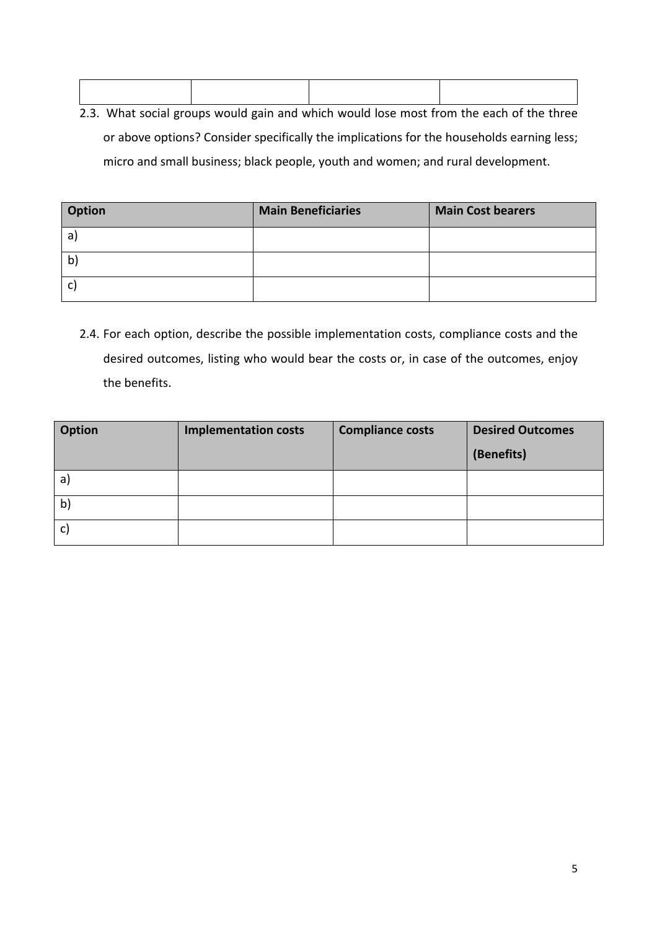2.3. What social groups would gain and which would lose most from the each of the three or above options? Consider specifically the implications for the households earning less; micro and small business; black people, youth and women; and rural development.

| Option | <b>Main Beneficiaries</b> | <b>Main Cost bearers</b> |
|--------|---------------------------|--------------------------|
| a      |                           |                          |
| b      |                           |                          |
| C      |                           |                          |

2.4. For each option, describe the possible implementation costs, compliance costs and the desired outcomes, listing who would bear the costs or, in case of the outcomes, enjoy the benefits.

| <b>Option</b> | <b>Implementation costs</b> | <b>Compliance costs</b> | <b>Desired Outcomes</b><br>(Benefits) |
|---------------|-----------------------------|-------------------------|---------------------------------------|
| a)            |                             |                         |                                       |
| $\mathsf{b}$  |                             |                         |                                       |
| C)            |                             |                         |                                       |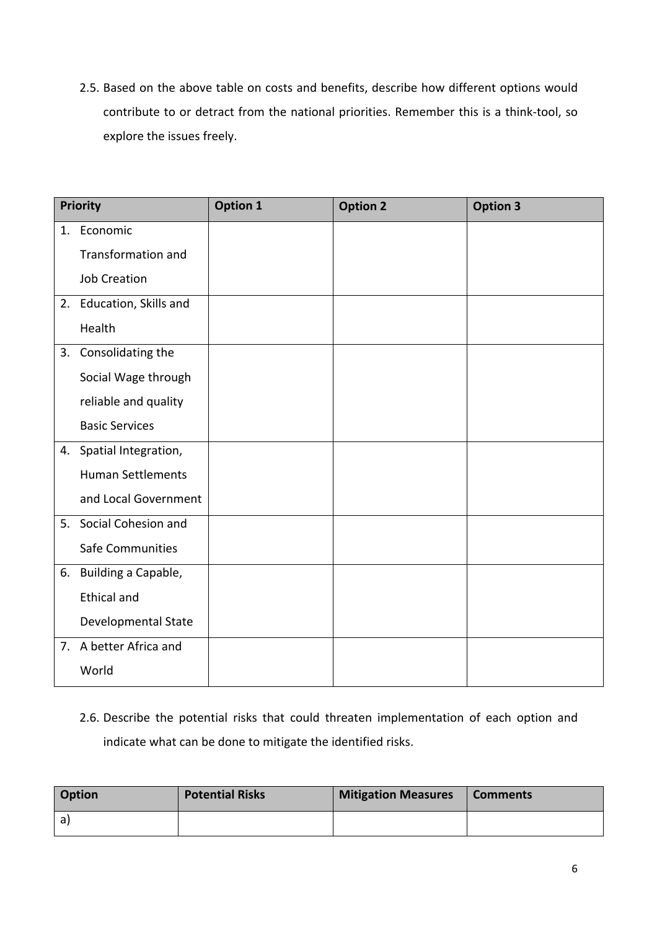2.5. Based on the above table on costs and benefits, describe how different options would contribute to or detract from the national priorities. Remember this is a think-tool, so explore the issues freely.

|    | <b>Priority</b>          | <b>Option 1</b> | <b>Option 2</b> | <b>Option 3</b> |
|----|--------------------------|-----------------|-----------------|-----------------|
|    | 1. Economic              |                 |                 |                 |
|    | Transformation and       |                 |                 |                 |
|    | <b>Job Creation</b>      |                 |                 |                 |
|    | 2. Education, Skills and |                 |                 |                 |
|    | Health                   |                 |                 |                 |
| 3. | Consolidating the        |                 |                 |                 |
|    | Social Wage through      |                 |                 |                 |
|    | reliable and quality     |                 |                 |                 |
|    | <b>Basic Services</b>    |                 |                 |                 |
|    | 4. Spatial Integration,  |                 |                 |                 |
|    | <b>Human Settlements</b> |                 |                 |                 |
|    | and Local Government     |                 |                 |                 |
| 5. | Social Cohesion and      |                 |                 |                 |
|    | <b>Safe Communities</b>  |                 |                 |                 |
|    | 6. Building a Capable,   |                 |                 |                 |
|    | <b>Ethical and</b>       |                 |                 |                 |
|    | Developmental State      |                 |                 |                 |
|    | 7. A better Africa and   |                 |                 |                 |
|    | World                    |                 |                 |                 |

2.6. Describe the potential risks that could threaten implementation of each option and indicate what can be done to mitigate the identified risks.

| <b>Option</b> | <b>Potential Risks</b> | <b>Mitigation Measures</b> | Comments |
|---------------|------------------------|----------------------------|----------|
| a l           |                        |                            |          |